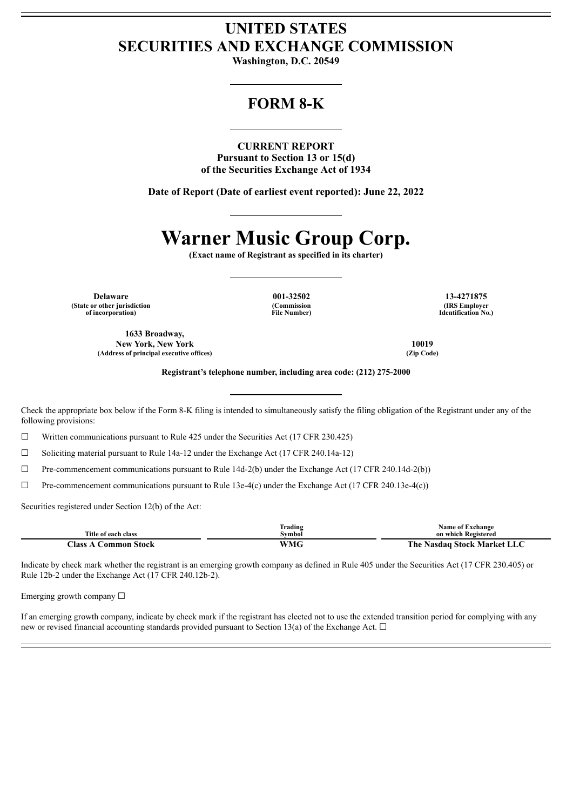## **UNITED STATES SECURITIES AND EXCHANGE COMMISSION**

**Washington, D.C. 20549**

## **FORM 8-K**

**CURRENT REPORT Pursuant to Section 13 or 15(d) of the Securities Exchange Act of 1934**

**Date of Report (Date of earliest event reported): June 22, 2022**

# **Warner Music Group Corp.**

**(Exact name of Registrant as specified in its charter)**

**Delaware 001-32502 13-4271875 (State or other jurisdiction of incorporation)**

**(Commission File Number)**

**(IRS Employer Identification No.)**

**1633 Broadway, New York, New York 10019 (Address of principal executive offices) (Zip Code)**

**Registrant's telephone number, including area code: (212) 275-2000**

Check the appropriate box below if the Form 8-K filing is intended to simultaneously satisfy the filing obligation of the Registrant under any of the following provisions:

 $\Box$  Written communications pursuant to Rule 425 under the Securities Act (17 CFR 230.425)

 $\Box$  Soliciting material pursuant to Rule 14a-12 under the Exchange Act (17 CFR 240.14a-12)

 $\Box$  Pre-commencement communications pursuant to Rule 14d-2(b) under the Exchange Act (17 CFR 240.14d-2(b))

☐ Pre-commencement communications pursuant to Rule 13e-4(c) under the Exchange Act (17 CFR 240.13e-4(c))

Securities registered under Section 12(b) of the Act:

|                                | trading | <b>Name of Exchange</b>     |
|--------------------------------|---------|-----------------------------|
| Title of each class            | Svmbol  | on which Registered         |
| $\bigcap$ ass<br>:`ommon Stock | WMG     | The Nasdaq Stock Market LLC |

Indicate by check mark whether the registrant is an emerging growth company as defined in Rule 405 under the Securities Act (17 CFR 230.405) or Rule 12b-2 under the Exchange Act (17 CFR 240.12b-2).

Emerging growth company  $\Box$ 

If an emerging growth company, indicate by check mark if the registrant has elected not to use the extended transition period for complying with any new or revised financial accounting standards provided pursuant to Section 13(a) of the Exchange Act.  $\Box$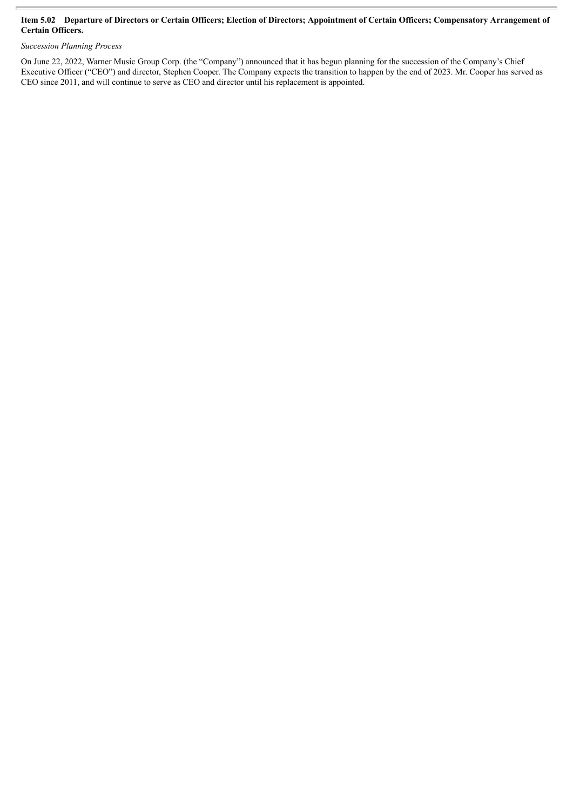#### Item 5.02 Departure of Directors or Certain Officers; Election of Directors; Appointment of Certain Officers; Compensatory Arrangement of **Certain Officers.**

#### *Succession Planning Process*

On June 22, 2022, Warner Music Group Corp. (the "Company") announced that it has begun planning for the succession of the Company's Chief Executive Officer ("CEO") and director, Stephen Cooper. The Company expects the transition to happen by the end of 2023. Mr. Cooper has served as CEO since 2011, and will continue to serve as CEO and director until his replacement is appointed.